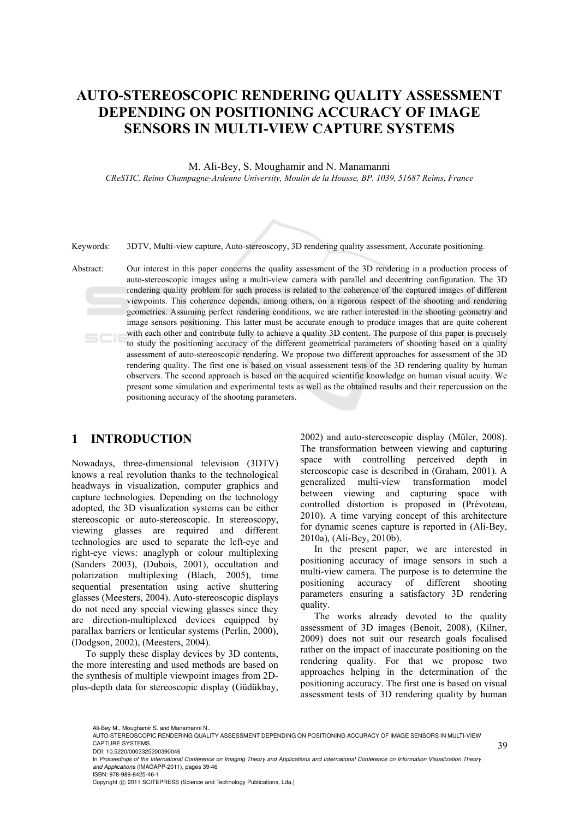# **AUTO-STEREOSCOPIC RENDERING QUALITY ASSESSMENT DEPENDING ON POSITIONING ACCURACY OF IMAGE SENSORS IN MULTI-VIEW CAPTURE SYSTEMS**

M. Ali-Bey, S. Moughamir and N. Manamanni

*CReSTIC, Reims Champagne-Ardenne University, Moulin de la Housse, BP. 1039, 51687 Reims, France* 



Keywords: 3DTV, Multi-view capture, Auto-stereoscopy, 3D rendering quality assessment, Accurate positioning.

Abstract: Our interest in this paper concerns the quality assessment of the 3D rendering in a production process of auto-stereoscopic images using a multi-view camera with parallel and decentring configuration. The 3D rendering quality problem for such process is related to the coherence of the captured images of different viewpoints. This coherence depends, among others, on a rigorous respect of the shooting and rendering geometries. Assuming perfect rendering conditions, we are rather interested in the shooting geometry and image sensors positioning. This latter must be accurate enough to produce images that are quite coherent with each other and contribute fully to achieve a quality 3D content. The purpose of this paper is precisely to study the positioning accuracy of the different geometrical parameters of shooting based on a quality assessment of auto-stereoscopic rendering. We propose two different approaches for assessment of the 3D rendering quality. The first one is based on visual assessment tests of the 3D rendering quality by human observers. The second approach is based on the acquired scientific knowledge on human visual acuity. We present some simulation and experimental tests as well as the obtained results and their repercussion on the positioning accuracy of the shooting parameters.

### **1 INTRODUCTION**

Nowadays, three-dimensional television (3DTV) knows a real revolution thanks to the technological headways in visualization, computer graphics and capture technologies. Depending on the technology adopted, the 3D visualization systems can be either stereoscopic or auto-stereoscopic. In stereoscopy, viewing glasses are required and different technologies are used to separate the left-eye and right-eye views: anaglyph or colour multiplexing (Sanders 2003), (Dubois, 2001), occultation and polarization multiplexing (Blach, 2005), time sequential presentation using active shuttering glasses (Meesters, 2004). Auto-stereoscopic displays do not need any special viewing glasses since they are direction-multiplexed devices equipped by parallax barriers or lenticular systems (Perlin, 2000), (Dodgson, 2002), (Meesters, 2004).

To supply these display devices by 3D contents, the more interesting and used methods are based on the synthesis of multiple viewpoint images from 2Dplus-depth data for stereoscopic display (Güdükbay,

2002) and auto-stereoscopic display (Müler, 2008). The transformation between viewing and capturing space with controlling perceived depth in stereoscopic case is described in (Graham, 2001). A generalized multi-view transformation model between viewing and capturing space with controlled distortion is proposed in (Prévoteau, 2010). A time varying concept of this architecture for dynamic scenes capture is reported in (Ali-Bey, 2010a), (Ali-Bey, 2010b).

In the present paper, we are interested in positioning accuracy of image sensors in such a multi-view camera. The purpose is to determine the positioning accuracy of different shooting parameters ensuring a satisfactory 3D rendering quality.

The works already devoted to the quality assessment of 3D images (Benoit, 2008), (Kilner, 2009) does not suit our research goals focalised rather on the impact of inaccurate positioning on the rendering quality. For that we propose two approaches helping in the determination of the positioning accuracy. The first one is based on visual assessment tests of 3D rendering quality by human

Ali-Bey M., Moughamir S. and Manamanni N..

AUTO-STEREOSCOPIC RENDERING QUALITY ASSESSMENT DEPENDING ON POSITIONING ACCURACY OF IMAGE SENSORS IN MULTI-VIEW CAPTURE SYSTEMS. DOI: 10.5220/0003325200390046

In *Proceedings of the International Conference on Imaging Theory and Applications and International Conference on Information Visualization Theory and Applications* (IMAGAPP-2011), pages 39-46 ISBN: 978-989-8425-46-1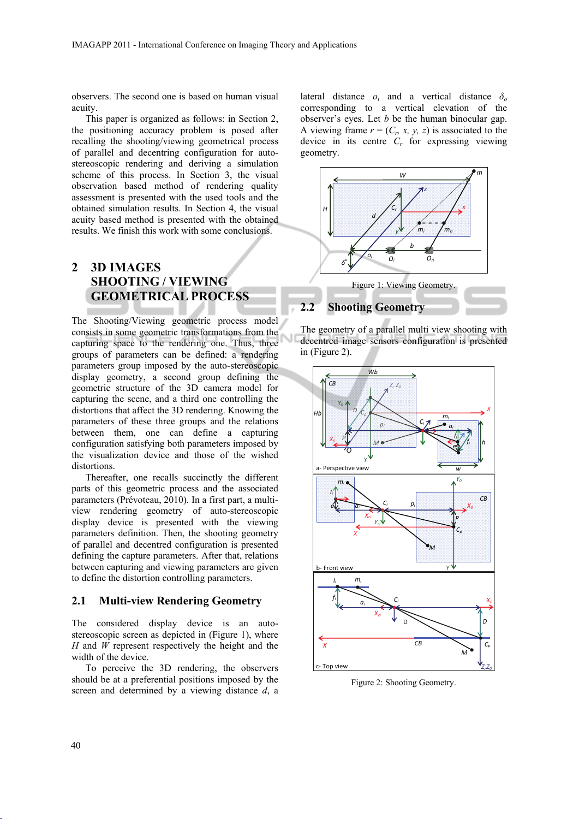observers. The second one is based on human visual acuity.

This paper is organized as follows: in Section 2, the positioning accuracy problem is posed after recalling the shooting/viewing geometrical process of parallel and decentring configuration for autostereoscopic rendering and deriving a simulation scheme of this process. In Section 3, the visual observation based method of rendering quality assessment is presented with the used tools and the obtained simulation results. In Section 4, the visual acuity based method is presented with the obtained results. We finish this work with some conclusions.

## **2 3D IMAGES SHOOTING / VIEWING GEOMETRICAL PROCESS**

The Shooting/Viewing geometric process model consists in some geometric transformations from the capturing space to the rendering one. Thus, three groups of parameters can be defined: a rendering parameters group imposed by the auto-stereoscopic display geometry, a second group defining the geometric structure of the 3D camera model for capturing the scene, and a third one controlling the distortions that affect the 3D rendering. Knowing the parameters of these three groups and the relations between them, one can define a capturing configuration satisfying both parameters imposed by the visualization device and those of the wished distortions.

Thereafter, one recalls succinctly the different parts of this geometric process and the associated parameters (Prévoteau, 2010). In a first part, a multiview rendering geometry of auto-stereoscopic display device is presented with the viewing parameters definition. Then, the shooting geometry of parallel and decentred configuration is presented defining the capture parameters. After that, relations between capturing and viewing parameters are given to define the distortion controlling parameters.

#### **2.1 Multi-view Rendering Geometry**

The considered display device is an autostereoscopic screen as depicted in (Figure 1), where *H* and *W* represent respectively the height and the width of the device.

To perceive the 3D rendering, the observers should be at a preferential positions imposed by the screen and determined by a viewing distance *d*, a

lateral distance  $o_i$  and a vertical distance  $\delta_o$ corresponding to a vertical elevation of the observer's eyes. Let *b* be the human binocular gap. A viewing frame  $r = (C_n, x, y, z)$  is associated to the device in its centre *Cr* for expressing viewing geometry.







Figure 2: Shooting Geometry.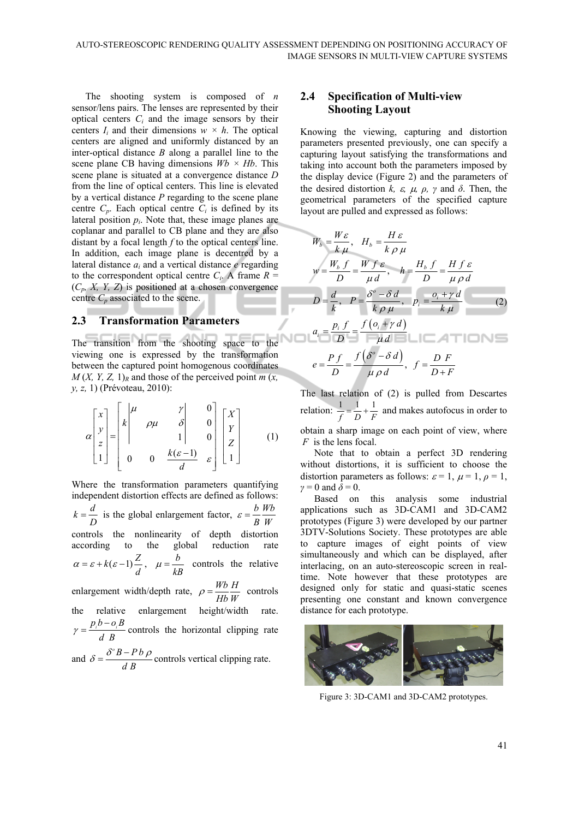The shooting system is composed of *n* sensor/lens pairs. The lenses are represented by their optical centers  $C_i$  and the image sensors by their centers  $I_i$  and their dimensions  $w \times h$ . The optical centers are aligned and uniformly distanced by an inter-optical distance *B* along a parallel line to the scene plane CB having dimensions  $Wb \times Hb$ . This scene plane is situated at a convergence distance *D* from the line of optical centers. This line is elevated by a vertical distance *P* regarding to the scene plane centre  $C_p$ . Each optical centre  $C_i$  is defined by its lateral position  $p_i$ . Note that, these image planes are coplanar and parallel to CB plane and they are also distant by a focal length *f* to the optical centers line. In addition, each image plane is decentred by a lateral distance *ai* and a vertical distance *e* regarding to the correspondent optical centre  $C_i$ . A frame  $R =$  $(C_p, X, Y, Z)$  is positioned at a chosen convergence centre  $C_p$  associated to the scene.

#### **2.3 Transformation Parameters**

The transition from the shooting space to the viewing one is expressed by the transformation between the captured point homogenous coordinates  $M(X, Y, Z, 1)<sub>R</sub>$  and those of the perceived point *m* (*x*, *y, z,* 1) (Prévoteau, 2010):

$$
\alpha \begin{bmatrix} x \\ y \\ z \\ 1 \end{bmatrix} = \begin{bmatrix} k \begin{vmatrix} \mu & y & 0 \\ \mu & \rho \mu & \delta & 0 \\ 0 & 1 & 0 \\ 0 & 0 & \frac{k(\varepsilon - 1)}{d} & \varepsilon \end{bmatrix} \begin{bmatrix} X \\ Y \\ Z \\ 1 \end{bmatrix} \tag{1}
$$

Where the transformation parameters quantifying independent distortion effects are defined as follows:  $k = \frac{d}{D}$  is the global enlargement factor,  $\varepsilon = \frac{b}{B} \frac{Wb}{W}$  $\varepsilon =$ controls the nonlinearity of depth distortion according to the global reduction rate  $\alpha = \varepsilon + k(\varepsilon - 1)\frac{Z}{d}, \quad \mu = \frac{b}{kB}$  controls the relative enlargement width/depth rate,  $\rho = \frac{Wb}{Hb} \frac{H}{W}$  controls the relative enlargement height/width rate.  $\gamma = \frac{p_i b - o_i B}{d B}$  controls the horizontal clipping rate and  $\delta = \frac{\delta^{\circ} B - P b}{\delta}$  $\delta = \frac{\delta^{\circ} B - Pb \rho}{d B}$  controls vertical clipping rate.

#### **2.4 Specification of Multi-view Shooting Layout**

Knowing the viewing, capturing and distortion parameters presented previously, one can specify a capturing layout satisfying the transformations and taking into account both the parameters imposed by the display device (Figure 2) and the parameters of the desired distortion  $k$ ,  $\varepsilon$ ,  $\mu$ ,  $\rho$ ,  $\gamma$  and  $\delta$ . Then, the geometrical parameters of the specified capture layout are pulled and expressed as follows:

$$
W_b = \frac{W\epsilon}{k\mu}, \quad H_b = \frac{H\epsilon}{k\rho\mu}
$$
  

$$
w = \frac{W_b f}{D} = \frac{Wf\epsilon}{\mu d}, \quad h = \frac{H_b f}{D} = \frac{Hf\epsilon}{\mu \rho d}
$$
  

$$
D = \frac{d}{k}, \quad P = \frac{\delta^o - \delta d}{k\rho\mu}, \quad p_i = \frac{o_i + \gamma d}{k\mu}
$$
  

$$
a_i = \frac{p_i f}{D} = \frac{f(o_i + \gamma d)}{\mu d} = \frac{f(o_i + \gamma d)}{\mu \rho d}, \quad f = \frac{D F}{D + F}
$$

The last relation of (2) is pulled from Descartes relation:  $\frac{1}{f} = \frac{1}{D} + \frac{1}{F}$  and makes autofocus in order to obtain a sharp image on each point of view, where

*F* is the lens focal. Note that to obtain a perfect 3D rendering without distortions, it is sufficient to choose the distortion parameters as follows:  $\varepsilon = 1$ ,  $\mu = 1$ ,  $\rho = 1$ ,  $\gamma = 0$  and  $\delta = 0$ .

Based on this analysis some industrial applications such as 3D-CAM1 and 3D-CAM2 prototypes (Figure 3) were developed by our partner 3DTV-Solutions Society. These prototypes are able to capture images of eight points of view simultaneously and which can be displayed, after interlacing, on an auto-stereoscopic screen in realtime. Note however that these prototypes are designed only for static and quasi-static scenes presenting one constant and known convergence distance for each prototype.



Figure 3: 3D-CAM1 and 3D-CAM2 prototypes.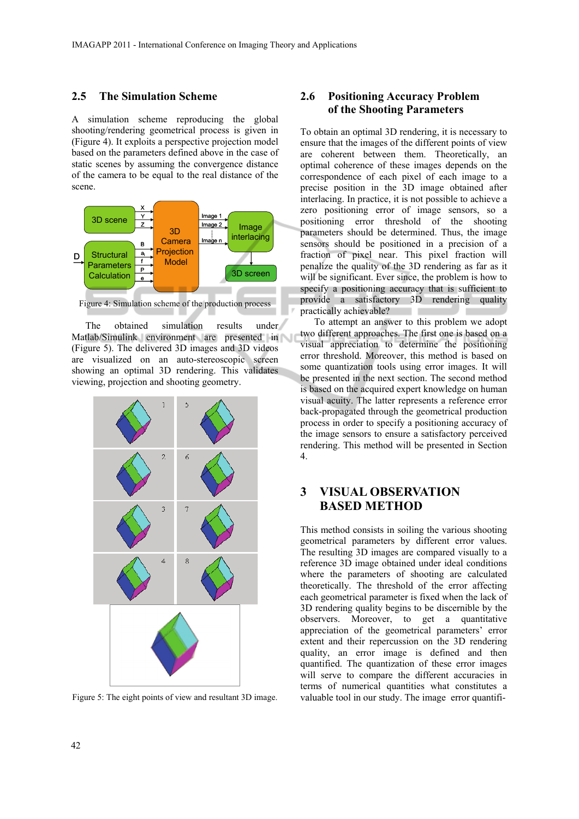#### **2.5 The Simulation Scheme**

A simulation scheme reproducing the global shooting/rendering geometrical process is given in (Figure 4). It exploits a perspective projection model based on the parameters defined above in the case of static scenes by assuming the convergence distance of the camera to be equal to the real distance of the scene.



Figure 4: Simulation scheme of the production process

The obtained simulation results under Matlab/Simulink environment are presented in (Figure 5). The delivered 3D images and 3D videos are visualized on an auto-stereoscopic screen showing an optimal 3D rendering. This validates viewing, projection and shooting geometry.



Figure 5: The eight points of view and resultant 3D image.

#### **2.6 Positioning Accuracy Problem of the Shooting Parameters**

To obtain an optimal 3D rendering, it is necessary to ensure that the images of the different points of view are coherent between them. Theoretically, an optimal coherence of these images depends on the correspondence of each pixel of each image to a precise position in the 3D image obtained after interlacing. In practice, it is not possible to achieve a zero positioning error of image sensors, so a positioning error threshold of the shooting parameters should be determined. Thus, the image sensors should be positioned in a precision of a fraction of pixel near. This pixel fraction will penalize the quality of the 3D rendering as far as it will be significant. Ever since, the problem is how to specify a positioning accuracy that is sufficient to provide a satisfactory 3D rendering quality practically achievable?

To attempt an answer to this problem we adopt two different approaches. The first one is based on a visual appreciation to determine the positioning error threshold. Moreover, this method is based on some quantization tools using error images. It will be presented in the next section. The second method is based on the acquired expert knowledge on human visual acuity. The latter represents a reference error back-propagated through the geometrical production process in order to specify a positioning accuracy of the image sensors to ensure a satisfactory perceived rendering. This method will be presented in Section 4.

## **3 VISUAL OBSERVATION BASED METHOD**

This method consists in soiling the various shooting geometrical parameters by different error values. The resulting 3D images are compared visually to a reference 3D image obtained under ideal conditions where the parameters of shooting are calculated theoretically. The threshold of the error affecting each geometrical parameter is fixed when the lack of 3D rendering quality begins to be discernible by the observers. Moreover, to get a quantitative appreciation of the geometrical parameters' error extent and their repercussion on the 3D rendering quality, an error image is defined and then quantified. The quantization of these error images will serve to compare the different accuracies in terms of numerical quantities what constitutes a valuable tool in our study. The image error quantifi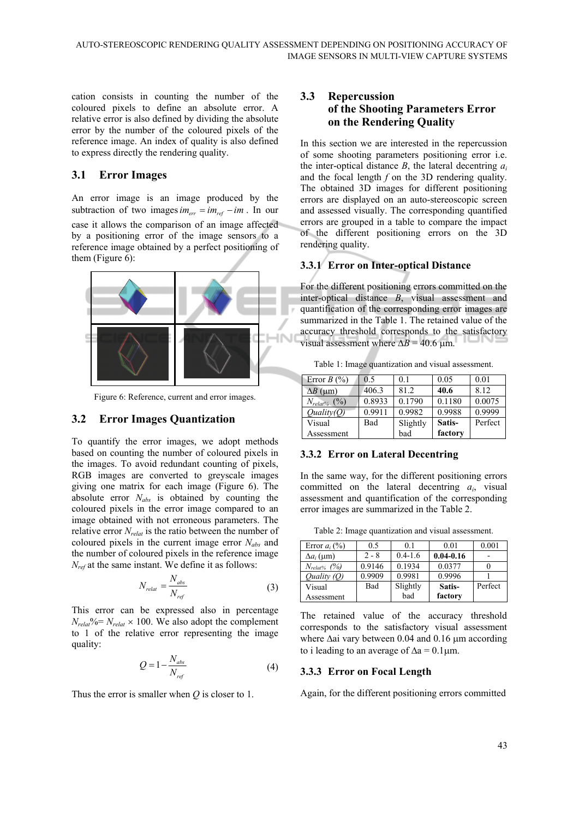cation consists in counting the number of the coloured pixels to define an absolute error. A relative error is also defined by dividing the absolute error by the number of the coloured pixels of the reference image. An index of quality is also defined to express directly the rendering quality.

#### **3.1 Error Images**

An error image is an image produced by the subtraction of two images  $im_{err} = im_{ref} - im$ . In our case it allows the comparison of an image affected by a positioning error of the image sensors to a reference image obtained by a perfect positioning of them (Figure 6):



Figure 6: Reference, current and error images.

#### **3.2 Error Images Quantization**

To quantify the error images, we adopt methods based on counting the number of coloured pixels in the images. To avoid redundant counting of pixels, RGB images are converted to greyscale images giving one matrix for each image (Figure 6). The absolute error *Nabs* is obtained by counting the coloured pixels in the error image compared to an image obtained with not erroneous parameters. The relative error *Nrelat* is the ratio between the number of coloured pixels in the current image error *Nabs* and the number of coloured pixels in the reference image *Nref* at the same instant. We define it as follows:

$$
N_{relat} = \frac{N_{abs}}{N_{ref}} \tag{3}
$$

This error can be expressed also in percentage  $N_{relat}\%$  =  $N_{relat}$  × 100. We also adopt the complement to 1 of the relative error representing the image quality:

$$
Q = 1 - \frac{N_{\text{abs}}}{N_{\text{ref}}}
$$
 (4)

Thus the error is smaller when *Q* is closer to 1.

#### **3.3 Repercussion of the Shooting Parameters Error on the Rendering Quality**

In this section we are interested in the repercussion of some shooting parameters positioning error i.e. the inter-optical distance *B*, the lateral decentring *ai* and the focal length *f* on the 3D rendering quality. The obtained 3D images for different positioning errors are displayed on an auto-stereoscopic screen and assessed visually. The corresponding quantified errors are grouped in a table to compare the impact of the different positioning errors on the 3D rendering quality.

#### **3.3.1 Error on Inter-optical Distance**

For the different positioning errors committed on the inter-optical distance *B*, visual assessment and quantification of the corresponding error images are summarized in the Table 1. The retained value of the accuracy threshold corresponds to the satisfactory visual assessment where  $\Delta B = 40.6$  µm.

Table 1: Image quantization and visual assessment.

| Error $B(%)$      | 0.5    | 0 <sub>1</sub> | 0.05    | 0.01    |
|-------------------|--------|----------------|---------|---------|
| $\Delta B$ (um)   | 406.3  | 81.2           | 40.6    | 8.12    |
| $N_{relat\%}$ (%) | 0.8933 | 0.1790         | 0.1180  | 0.0075  |
| Quality(Q)        | 0.9911 | 0.9982         | 0.9988  | 0.9999  |
| Visual            | Bad    | Slightly       | Satis-  | Perfect |
| Assessment        |        | bad            | factory |         |

#### **3.3.2 Error on Lateral Decentring**

In the same way, for the different positioning errors committed on the lateral decentring *ai*, visual assessment and quantification of the corresponding error images are summarized in the Table 2.

| Table 2: Image quantization and visual assessment. |  |  |  |  |  |
|----------------------------------------------------|--|--|--|--|--|
|----------------------------------------------------|--|--|--|--|--|

| Error $a_i$ (%)   | 0.5     | 0 <sub>1</sub> | 0.01          | 0.001   |
|-------------------|---------|----------------|---------------|---------|
| $\Delta a_i$ (µm) | $2 - 8$ | $0.4 - 1.6$    | $0.04 - 0.16$ |         |
| $N_{relat\%}$ (%) | 0.9146  | 0.1934         | 0.0377        |         |
| Quality (O)       | 0.9909  | 0.9981         | 0.9996        |         |
| Visual            | Bad     | Slightly       | Satis-        | Perfect |
| Assessment        |         | bad            | factory       |         |

The retained value of the accuracy threshold corresponds to the satisfactory visual assessment where  $\Delta ai$  vary between 0.04 and 0.16  $\mu$ m according to i leading to an average of  $\Delta a = 0.1 \mu m$ .

#### **3.3.3 Error on Focal Length**

Again, for the different positioning errors committed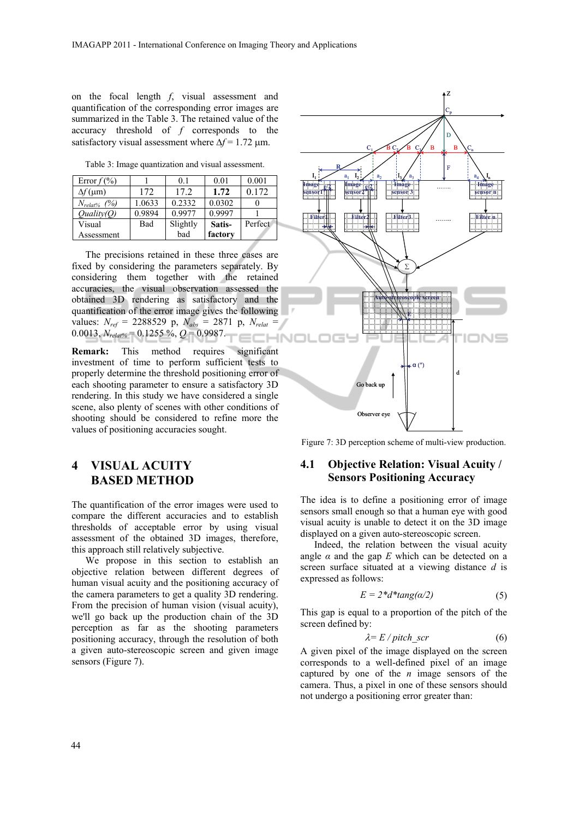on the focal length *f*, visual assessment and quantification of the corresponding error images are summarized in the Table 3. The retained value of the accuracy threshold of *f* corresponds to the satisfactory visual assessment where  $\Delta f = 1.72$  um.

Table 3: Image quantization and visual assessment.

| Error $f(\%)$     |        | 0 <sub>1</sub> | 0.01    | 0.001   |
|-------------------|--------|----------------|---------|---------|
| $\Delta f$ (µm)   | 172    | 172            | 1.72    | 0.172   |
| $N_{relat\%}$ (%) | 1.0633 | 0.2332         | 0.0302  |         |
| Ouality(O)        | 0.9894 | 0.9977         | 0.9997  |         |
| Visual            | Bad    | Slightly       | Satis-  | Perfect |
| Assessment        |        | bad            | factory |         |

The precisions retained in these three cases are fixed by considering the parameters separately. By considering them together with the retained accuracies, the visual observation assessed the obtained 3D rendering as satisfactory and the quantification of the error image gives the following values: *Nref* = 2288529 p, *Nabs* = 2871 p, *Nrelat* = 0.0013, *Nrelat%* = 0.1255 %, *Q* = 0.9987. t and a **IHNO** 

**Remark:** This method requires significant investment of time to perform sufficient tests to properly determine the threshold positioning error of each shooting parameter to ensure a satisfactory 3D rendering. In this study we have considered a single scene, also plenty of scenes with other conditions of shooting should be considered to refine more the values of positioning accuracies sought.

## **4 VISUAL ACUITY BASED METHOD**

The quantification of the error images were used to compare the different accuracies and to establish thresholds of acceptable error by using visual assessment of the obtained 3D images, therefore, this approach still relatively subjective.

We propose in this section to establish an objective relation between different degrees of human visual acuity and the positioning accuracy of the camera parameters to get a quality 3D rendering. From the precision of human vision (visual acuity), we'll go back up the production chain of the 3D perception as far as the shooting parameters positioning accuracy, through the resolution of both a given auto-stereoscopic screen and given image sensors (Figure 7).



Figure 7: 3D perception scheme of multi-view production.

### **4.1 Objective Relation: Visual Acuity / Sensors Positioning Accuracy**

The idea is to define a positioning error of image sensors small enough so that a human eye with good visual acuity is unable to detect it on the 3D image displayed on a given auto-stereoscopic screen.

Indeed, the relation between the visual acuity angle  $\alpha$  and the gap  $E$  which can be detected on a screen surface situated at a viewing distance *d* is expressed as follows:

$$
E = 2 * d * tang(\alpha/2)
$$
 (5)

This gap is equal to a proportion of the pitch of the screen defined by:

$$
\lambda = E / pitch\_scr
$$
 (6)

A given pixel of the image displayed on the screen corresponds to a well-defined pixel of an image captured by one of the *n* image sensors of the camera. Thus, a pixel in one of these sensors should not undergo a positioning error greater than: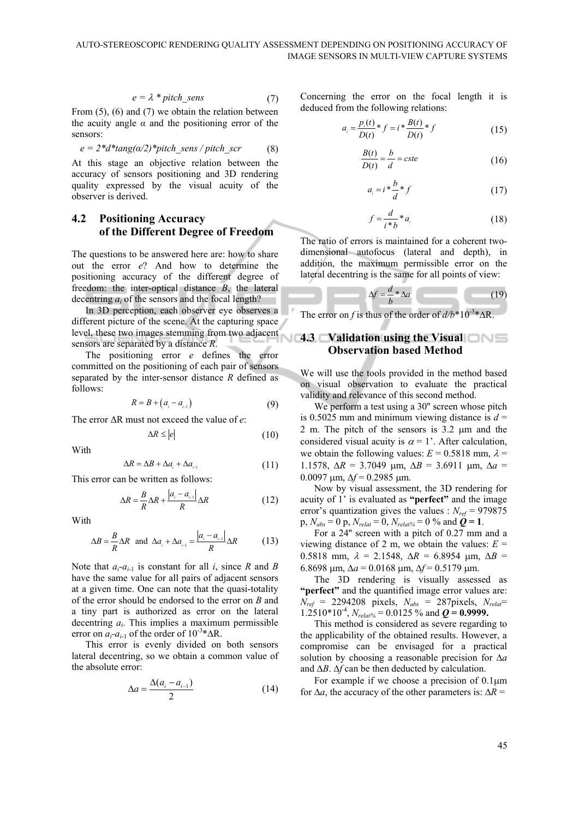$$
e = \lambda * pitch\_sens
$$
 (7)

From (5), (6) and (7) we obtain the relation between the acuity angle  $\alpha$  and the positioning error of the sensors:

$$
e = 2 * d * tang(\alpha/2) * pitch\_sens / pitch\_scr
$$
 (8)

At this stage an objective relation between the accuracy of sensors positioning and 3D rendering quality expressed by the visual acuity of the observer is derived.

#### **4.2 Positioning Accuracy of the Different Degree of Freedom**

The questions to be answered here are: how to share out the error *e*? And how to determine the positioning accuracy of the different degree of freedom: the inter-optical distance *B*, the lateral decentring *ai* of the sensors and the focal length?

In 3D perception, each observer eye observes a different picture of the scene. At the capturing space level, these two images stemming from two adjacent sensors are separated by a distance *R*.

The positioning error *e* defines the error committed on the positioning of each pair of sensors separated by the inter-sensor distance *R* defined as follows:

$$
R = B + \left(a_{i} - a_{i-1}\right) \tag{9}
$$

The error ΔR must not exceed the value of *e*:

$$
\Delta R \le |e| \tag{10}
$$

With

$$
\Delta R = \Delta B + \Delta a_i + \Delta a_{i-1} \tag{11}
$$

This error can be written as follows:

$$
\Delta R = \frac{B}{R} \Delta R + \frac{|a_i - a_{i-1}|}{R} \Delta R \tag{12}
$$

With

$$
\Delta B = \frac{B}{R} \Delta R \text{ and } \Delta a_i + \Delta a_{i-1} = \frac{|a_i - a_{i-1}|}{R} \Delta R \tag{13}
$$

Note that  $a_i$ - $a_{i-1}$  is constant for all *i*, since *R* and *B* have the same value for all pairs of adjacent sensors at a given time. One can note that the quasi-totality of the error should be endorsed to the error on *B* and a tiny part is authorized as error on the lateral decentring *ai*. This implies a maximum permissible error on  $a_i$ - $a_{i-1}$  of the order of 10<sup>-3\*</sup>∆R.

This error is evenly divided on both sensors lateral decentring, so we obtain a common value of the absolute error:

$$
\Delta a = \frac{\Delta (a_i - a_{i-1})}{2} \tag{14}
$$

Concerning the error on the focal length it is deduced from the following relations:

$$
a_i = \frac{p_i(t)}{D(t)} * f = i * \frac{B(t)}{D(t)} * f
$$
 (15)

$$
\frac{B(t)}{D(t)} = \frac{b}{d} = cste
$$
 (16)

$$
a_i = i \cdot \frac{b}{d} \cdot f \tag{17}
$$

$$
f = \frac{d}{i * b} * a_i \tag{18}
$$

The ratio of errors is maintained for a coherent twodimensional autofocus (lateral and depth), in addition, the maximum permissible error on the lateral decentring is the same for all points of view:

$$
\Delta f = \frac{d}{b} * \Delta a \tag{19}
$$

The error on *f* is thus of the order of  $d/b^*10^{-3*}\Delta R$ .

#### **4.3 Validation using the Visual Observation based Method**

We will use the tools provided in the method based on visual observation to evaluate the practical validity and relevance of this second method.

We perform a test using a 30" screen whose pitch is 0.5025 mm and minimum viewing distance is  $d =$ 2 m. The pitch of the sensors is  $3.2 \mu m$  and the considered visual acuity is  $\alpha = 1'$ . After calculation, we obtain the following values:  $E = 0.5818$  mm,  $\lambda =$ 1.1578,  $\Delta R = 3.7049$  μm,  $\Delta B = 3.6911$  μm,  $\Delta a =$  $0.0097$  µm,  $\Delta f = 0.2985$  µm.

Now by visual assessment, the 3D rendering for acuity of 1' is evaluated as **"perfect"** and the image error's quantization gives the values :  $N_{ref}$  = 979875  $p, N_{abs} = 0$   $p, N_{relat} = 0, N_{relat\%} = 0$  % and  $\dot{Q} = 1$ .

For a 24'' screen with a pitch of 0.27 mm and a viewing distance of 2 m, we obtain the values:  $E =$ 0.5818 mm,  $\lambda = 2.1548$ ,  $\Delta R = 6.8954$  µm,  $\Delta B =$ 6.8698 μm,  $\Delta a = 0.0168$  μm,  $\Delta f = 0.5179$  μm.

The 3D rendering is visually assessed as **"perfect"** and the quantified image error values are:  $N_{ref}$  = 2294208 pixels,  $N_{abs}$  = 287pixels,  $N_{relat}$ =  $1.2510*10^{-4}$ ,  $N_{relat\%} = 0.0125\%$  and  $\boldsymbol{Q} = 0.9999$ .

This method is considered as severe regarding to the applicability of the obtained results. However, a compromise can be envisaged for a practical solution by choosing a reasonable precision for ∆*a* and ∆*B*. ∆*f* can be then deducted by calculation.

For example if we choose a precision of  $0.1 \mu m$ for ∆*a*, the accuracy of the other parameters is: ∆*R* =